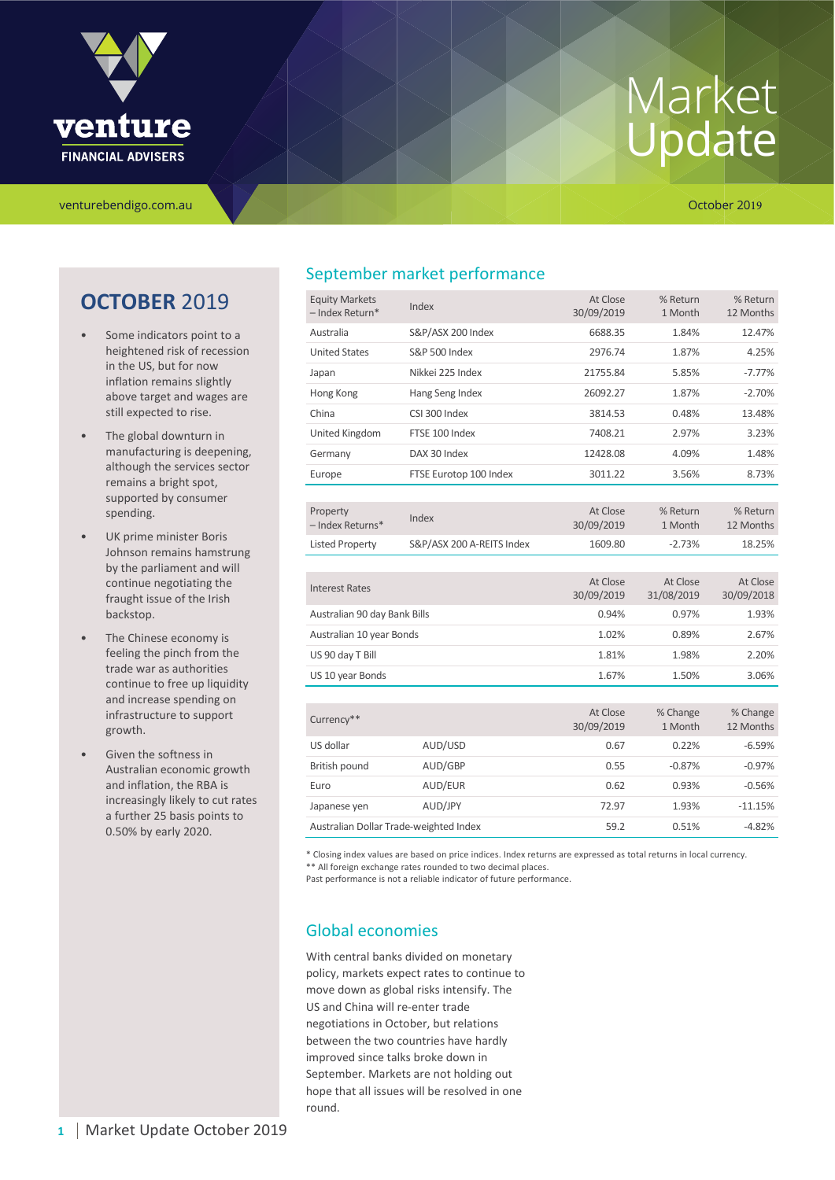

venturebendigo.com.au **October 2019** 

## **OCTOBER** 2019

- Some indicators point to a heightened risk of recession in the US, but for now inflation remains slightly above target and wages are still expected to rise.
- The global downturn in manufacturing is deepening, although the services sector remains a bright spot, supported by consumer spending.
- UK prime minister Boris Johnson remains hamstrung by the parliament and will continue negotiating the fraught issue of the Irish backstop.
- The Chinese economy is feeling the pinch from the trade war as authorities continue to free up liquidity and increase spending on infrastructure to support growth.
- Given the softness in Australian economic growth and inflation, the RBA is increasingly likely to cut rates a further 25 basis points to 0.50% by early 2020.

## September market performance

| <b>Equity Markets</b><br>- Index Return* | Index                     | At Close<br>30/09/2019 | % Return<br>1 Month    | % Return<br>12 Months  |
|------------------------------------------|---------------------------|------------------------|------------------------|------------------------|
| Australia                                | S&P/ASX 200 Index         | 6688.35                | 1.84%                  | 12.47%                 |
| <b>United States</b>                     | <b>S&amp;P 500 Index</b>  | 2976.74                | 1.87%                  | 4.25%                  |
| Japan                                    | Nikkei 225 Index          | 21755.84               | 5.85%                  | $-7.77%$               |
| Hong Kong                                | Hang Seng Index           | 26092.27               | 1.87%                  | $-2.70%$               |
| China                                    | CSI 300 Index             | 3814.53                | 0.48%                  | 13.48%                 |
| United Kingdom                           | FTSE 100 Index            | 7408.21                | 2.97%                  | 3.23%                  |
| Germany                                  | DAX 30 Index              | 12428.08               | 4.09%                  | 1.48%                  |
| Europe                                   | FTSE Eurotop 100 Index    | 3011.22                | 3.56%                  | 8.73%                  |
|                                          |                           |                        |                        |                        |
| Property<br>- Index Returns*             | Index                     | At Close<br>30/09/2019 | % Return<br>1 Month    | % Return<br>12 Months  |
| <b>Listed Property</b>                   | S&P/ASX 200 A-REITS Index | 1609.80                | $-2.73%$               | 18.25%                 |
|                                          |                           |                        |                        |                        |
| <b>Interest Rates</b>                    |                           | At Close<br>30/09/2019 | At Close<br>31/08/2019 | At Close<br>30/09/2018 |
| Australian 90 day Bank Bills             |                           | 0.94%                  | 0.97%                  | 1.93%                  |
| Australian 10 year Bonds                 |                           | 1.02%                  | 0.89%                  | 2.67%                  |
| US 90 day T Bill                         |                           | 1.81%                  | 1.98%                  | 2.20%                  |
| US 10 year Bonds                         |                           | 1.67%                  | 1.50%                  | 3.06%                  |
|                                          |                           |                        |                        |                        |
| Currency**                               |                           | At Close               | % Change               | % Change               |
|                                          |                           | 30/09/2019             | 1 Month                | 12 Months              |
| US dollar                                | AUD/USD                   | 0.67                   | 0.22%                  | $-6.59%$               |
| British pound                            | AUD/GBP                   | 0.55                   | $-0.87%$               | $-0.97%$               |
| Euro                                     | AUD/EUR                   | 0.62                   | 0.93%                  | $-0.56%$               |
| Japanese yen                             | AUD/JPY                   | 72.97                  | 1.93%                  | $-11.15%$              |
| Australian Dollar Trade-weighted Index   |                           | 59.2                   | 0.51%                  | $-4.82%$               |

\* Closing index values are based on price indices. Index returns are expressed as total returns in local currency. \*\* All foreign exchange rates rounded to two decimal places.

Past performance is not a reliable indicator of future performance.

## Global economies

With central banks divided on monetary policy, markets expect rates to continue to move down as global risks intensify. The US and China will re-enter trade negotiations in October, but relations between the two countries have hardly improved since talks broke down in September. Markets are not holding out hope that all issues will be resolved in one round.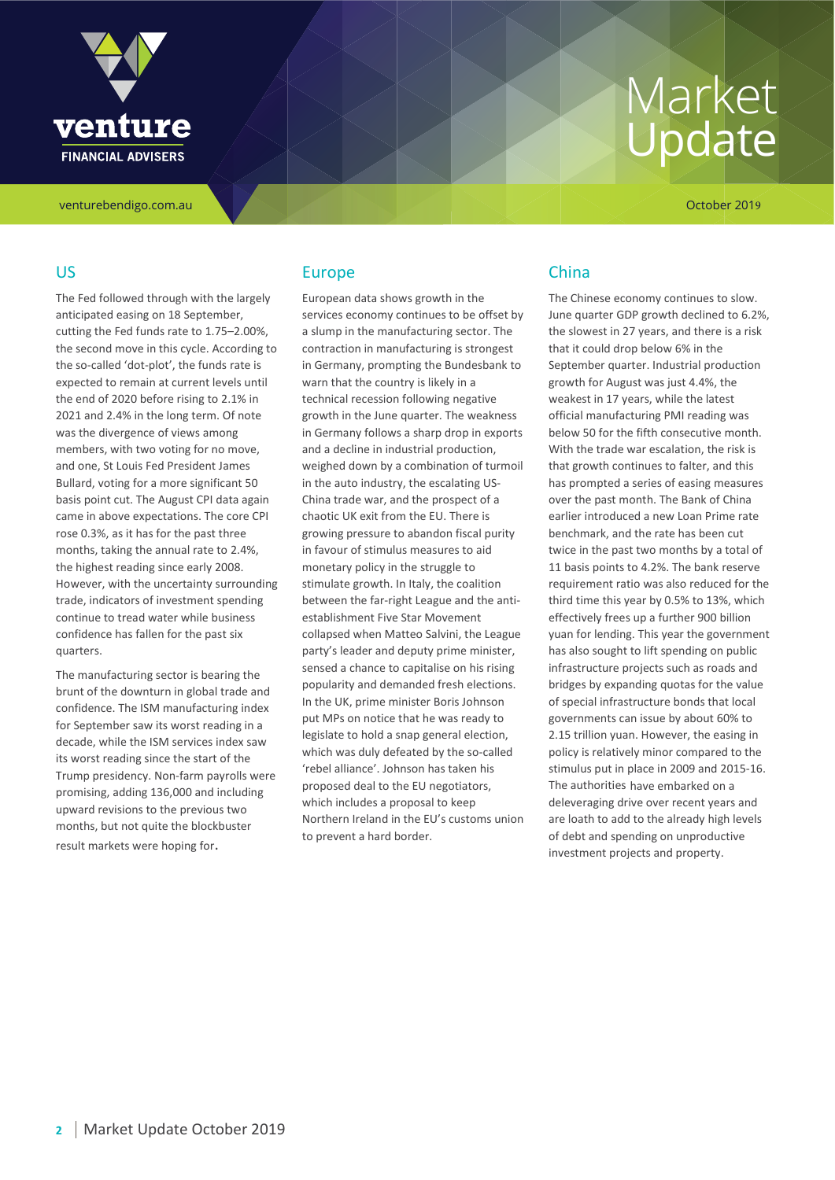

venturebendigo.com.au October 2019

### US

The Fed followed through with the largely anticipated easing on 18 September, cutting the Fed funds rate to 1.75–2.00%, the second move in this cycle. According to the so-called 'dot-plot', the funds rate is expected to remain at current levels until the end of 2020 before rising to 2.1% in 2021 and 2.4% in the long term. Of note was the divergence of views among members, with two voting for no move, and one, St Louis Fed President James Bullard, voting for a more significant 50 basis point cut. The August CPI data again came in above expectations. The core CPI rose 0.3%, as it has for the past three months, taking the annual rate to 2.4%, the highest reading since early 2008. However, with the uncertainty surrounding trade, indicators of investment spending continue to tread water while business confidence has fallen for the past six quarters.

The manufacturing sector is bearing the brunt of the downturn in global trade and confidence. The ISM manufacturing index for September saw its worst reading in a decade, while the ISM services index saw its worst reading since the start of the Trump presidency. Non-farm payrolls were promising, adding 136,000 and including upward revisions to the previous two months, but not quite the blockbuster result markets were hoping for.

### Europe

European data shows growth in the services economy continues to be offset by a slump in the manufacturing sector. The contraction in manufacturing is strongest in Germany, prompting the Bundesbank to warn that the country is likely in a technical recession following negative growth in the June quarter. The weakness in Germany follows a sharp drop in exports and a decline in industrial production, weighed down by a combination of turmoil in the auto industry, the escalating US-China trade war, and the prospect of a chaotic UK exit from the EU. There is growing pressure to abandon fiscal purity in favour of stimulus measures to aid monetary policy in the struggle to stimulate growth. In Italy, the coalition between the far-right League and the antiestablishment Five Star Movement collapsed when Matteo Salvini, the League party's leader and deputy prime minister, sensed a chance to capitalise on his rising popularity and demanded fresh elections. In the UK, prime minister Boris Johnson put MPs on notice that he was ready to legislate to hold a snap general election, which was duly defeated by the so-called 'rebel alliance'. Johnson has taken his proposed deal to the EU negotiators, which includes a proposal to keep Northern Ireland in the EU's customs union to prevent a hard border.

## China

The Chinese economy continues to slow. June quarter GDP growth declined to 6.2%, the slowest in 27 years, and there is a risk that it could drop below 6% in the September quarter. Industrial production growth for August was just 4.4%, the weakest in 17 years, while the latest official manufacturing PMI reading was below 50 for the fifth consecutive month. With the trade war escalation, the risk is that growth continues to falter, and this has prompted a series of easing measures over the past month. The Bank of China earlier introduced a new Loan Prime rate benchmark, and the rate has been cut twice in the past two months by a total of 11 basis points to 4.2%. The bank reserve requirement ratio was also reduced for the third time this year by 0.5% to 13%, which effectively frees up a further 900 billion yuan for lending. This year the government has also sought to lift spending on public infrastructure projects such as roads and bridges by expanding quotas for the value of special infrastructure bonds that local governments can issue by about 60% to 2.15 trillion yuan. However, the easing in policy is relatively minor compared to the stimulus put in place in 2009 and 2015-16. The authorities have embarked on a deleveraging drive over recent years and are loath to add to the already high levels of debt and spending on unproductive investment projects and property.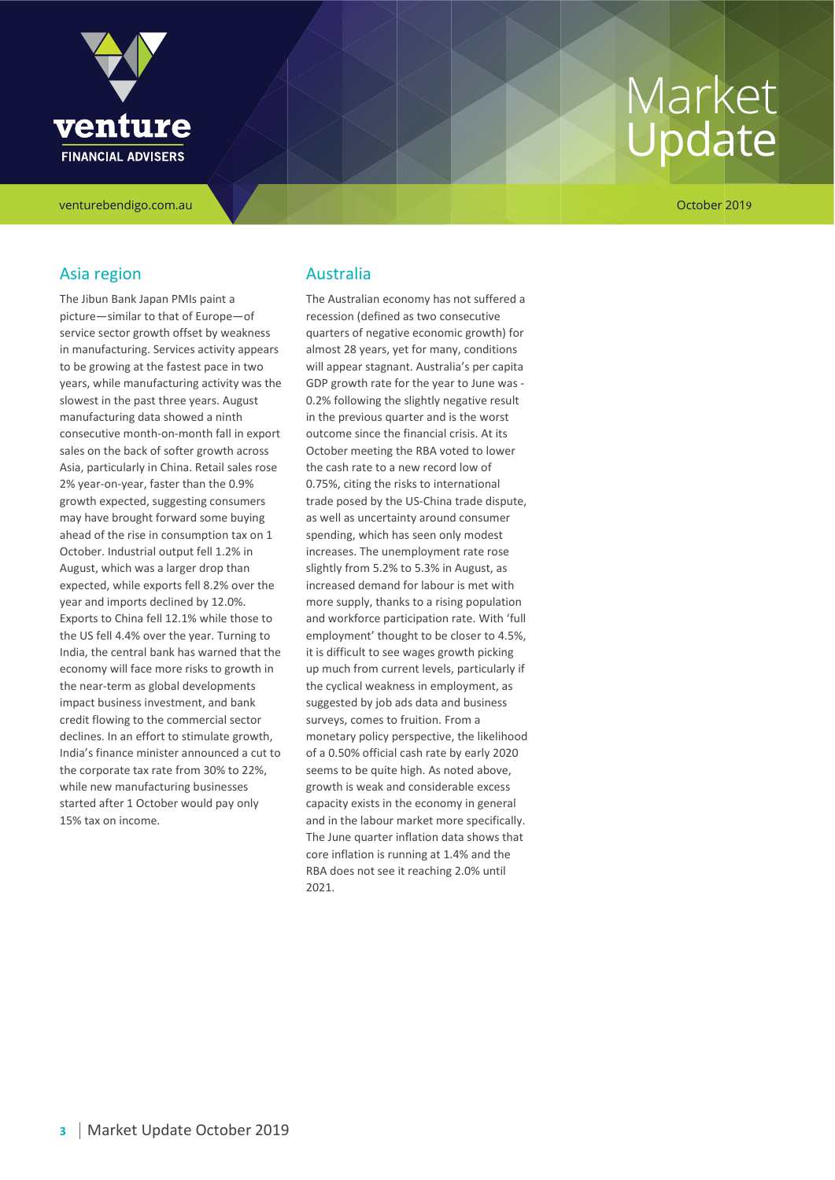

venturebendigo.com.au October 2019

## Asia region

The Jibun Bank Japan PMIs paint a picture—similar to that of Europe—of service sector growth offset by weakness in manufacturing. Services activity appears to be growing at the fastest pace in two years, while manufacturing activity was the slowest in the past three years. August manufacturing data showed a ninth consecutive month-on-month fall in export sales on the back of softer growth across Asia, particularly in China. Retail sales rose 2% year-on-year, faster than the 0.9% growth expected, suggesting consumers may have brought forward some buying ahead of the rise in consumption tax on 1 October. Industrial output fell 1.2% in August, which was a larger drop than expected, while exports fell 8.2% over the year and imports declined by 12.0%. Exports to China fell 12.1% while those to the US fell 4.4% over the year. Turning to India, the central bank has warned that the economy will face more risks to growth in the near-term as global developments impact business investment, and bank credit flowing to the commercial sector declines. In an effort to stimulate growth, India's finance minister announced a cut to the corporate tax rate from 30% to 22%, while new manufacturing businesses started after 1 October would pay only 15% tax on income.

### Australia

The Australian economy has not suffered a recession (defined as two consecutive quarters of negative economic growth) for almost 28 years, yet for many, conditions will appear stagnant. Australia's per capita GDP growth rate for the year to June was - 0.2% following the slightly negative result in the previous quarter and is the worst outcome since the financial crisis. At its October meeting the RBA voted to lower the cash rate to a new record low of 0.75%, citing the risks to international trade posed by the US-China trade dispute, as well as uncertainty around consumer spending, which has seen only modest increases. The unemployment rate rose slightly from 5.2% to 5.3% in August, as increased demand for labour is met with more supply, thanks to a rising population and workforce participation rate. With 'full employment' thought to be closer to 4.5%, it is difficult to see wages growth picking up much from current levels, particularly if the cyclical weakness in employment, as suggested by job ads data and business surveys, comes to fruition. From a monetary policy perspective, the likelihood of a 0.50% official cash rate by early 2020 seems to be quite high. As noted above, growth is weak and considerable excess capacity exists in the economy in general and in the labour market more specifically. The June quarter inflation data shows that core inflation is running at 1.4% and the RBA does not see it reaching 2.0% until 2021.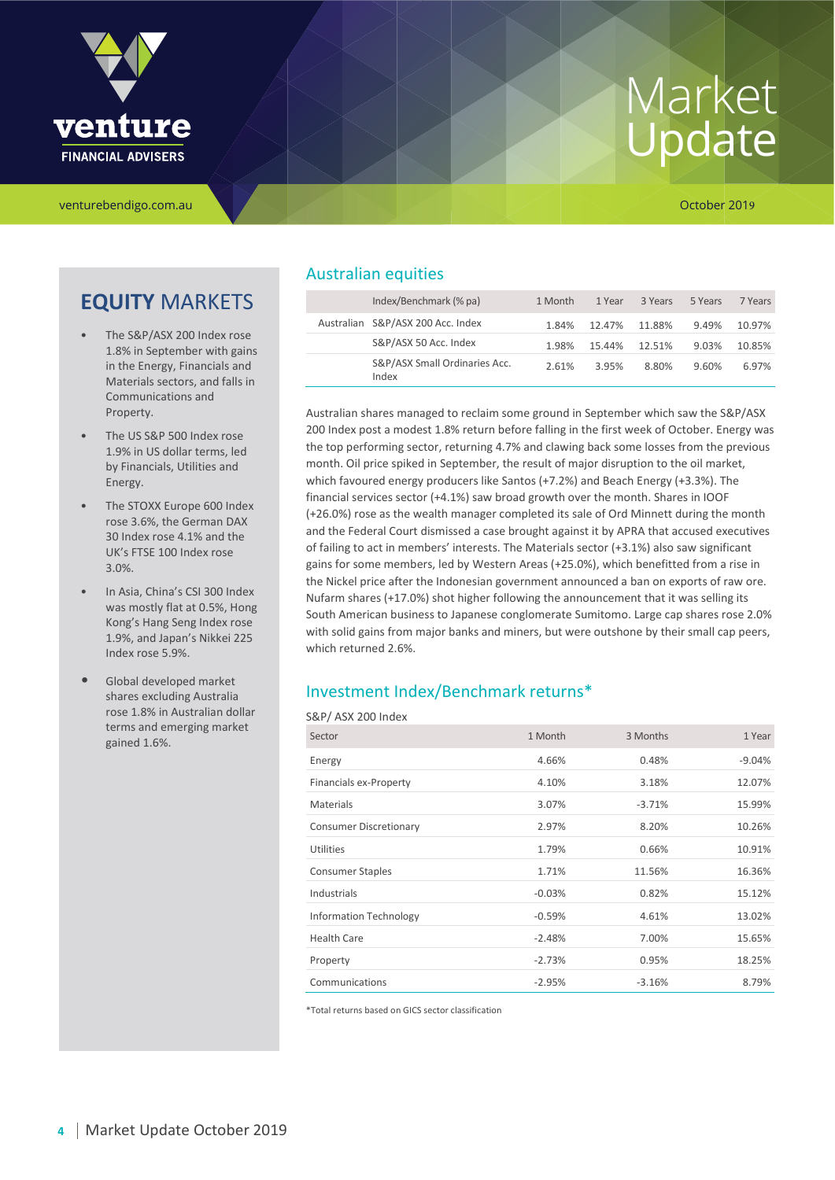

venturebendigo.com.au October 2019

## **EQUITY** MARKETS

- The S&P/ASX 200 Index rose 1.8% in September with gains in the Energy, Financials and Materials sectors, and falls in Communications and Property.
- The US S&P 500 Index rose 1.9% in US dollar terms, led by Financials, Utilities and Energy.
- The STOXX Europe 600 Index rose 3.6%, the German DAX 30 Index rose 4.1% and the UK's FTSE 100 Index rose 3.0%.
- In Asia, China's CSI 300 Index was mostly flat at 0.5%, Hong Kong's Hang Seng Index rose 1.9%, and Japan's Nikkei 225 Index rose 5.9%.
- Global developed market shares excluding Australia rose 1.8% in Australian dollar terms and emerging market gained 1.6%.

## Australian equities

| Index/Benchmark (% pa)                 | 1 Month | 1 Year | 3 Years | 5 Years | 7 Years |
|----------------------------------------|---------|--------|---------|---------|---------|
| Australian S&P/ASX 200 Acc. Index      | 1.84%   | 12.47% | 11.88%  | 9.49%   | 10.97%  |
| S&P/ASX 50 Acc. Index                  | 1.98%   | 15.44% | 12.51%  | 9.03%   | 10.85%  |
| S&P/ASX Small Ordinaries Acc.<br>Index | 2.61%   | 3.95%  | 8.80%   | 9.60%   | 6.97%   |

Australian shares managed to reclaim some ground in September which saw the S&P/ASX 200 Index post a modest 1.8% return before falling in the first week of October. Energy was the top performing sector, returning 4.7% and clawing back some losses from the previous month. Oil price spiked in September, the result of major disruption to the oil market, which favoured energy producers like Santos (+7.2%) and Beach Energy (+3.3%). The financial services sector (+4.1%) saw broad growth over the month. Shares in IOOF (+26.0%) rose as the wealth manager completed its sale of Ord Minnett during the month and the Federal Court dismissed a case brought against it by APRA that accused executives of failing to act in members' interests. The Materials sector (+3.1%) also saw significant gains for some members, led by Western Areas (+25.0%), which benefitted from a rise in the Nickel price after the Indonesian government announced a ban on exports of raw ore. Nufarm shares (+17.0%) shot higher following the announcement that it was selling its South American business to Japanese conglomerate Sumitomo. Large cap shares rose 2.0% with solid gains from major banks and miners, but were outshone by their small cap peers, which returned 2.6%.

## Investment Index/Benchmark returns\*

#### S&P/ ASX 200 Index

| Sector                        | 1 Month  | 3 Months | 1 Year   |
|-------------------------------|----------|----------|----------|
| Energy                        | 4.66%    | 0.48%    | $-9.04%$ |
| Financials ex-Property        | 4.10%    | 3.18%    | 12.07%   |
| <b>Materials</b>              | 3.07%    | $-3.71%$ | 15.99%   |
| <b>Consumer Discretionary</b> | 2.97%    | 8.20%    | 10.26%   |
| Utilities                     | 1.79%    | 0.66%    | 10.91%   |
| <b>Consumer Staples</b>       | 1.71%    | 11.56%   | 16.36%   |
| Industrials                   | $-0.03%$ | 0.82%    | 15.12%   |
| <b>Information Technology</b> | $-0.59%$ | 4.61%    | 13.02%   |
| <b>Health Care</b>            | $-2.48%$ | 7.00%    | 15.65%   |
| Property                      | $-2.73%$ | 0.95%    | 18.25%   |
| Communications                | $-2.95%$ | $-3.16%$ | 8.79%    |

\*Total returns based on GICS sector classification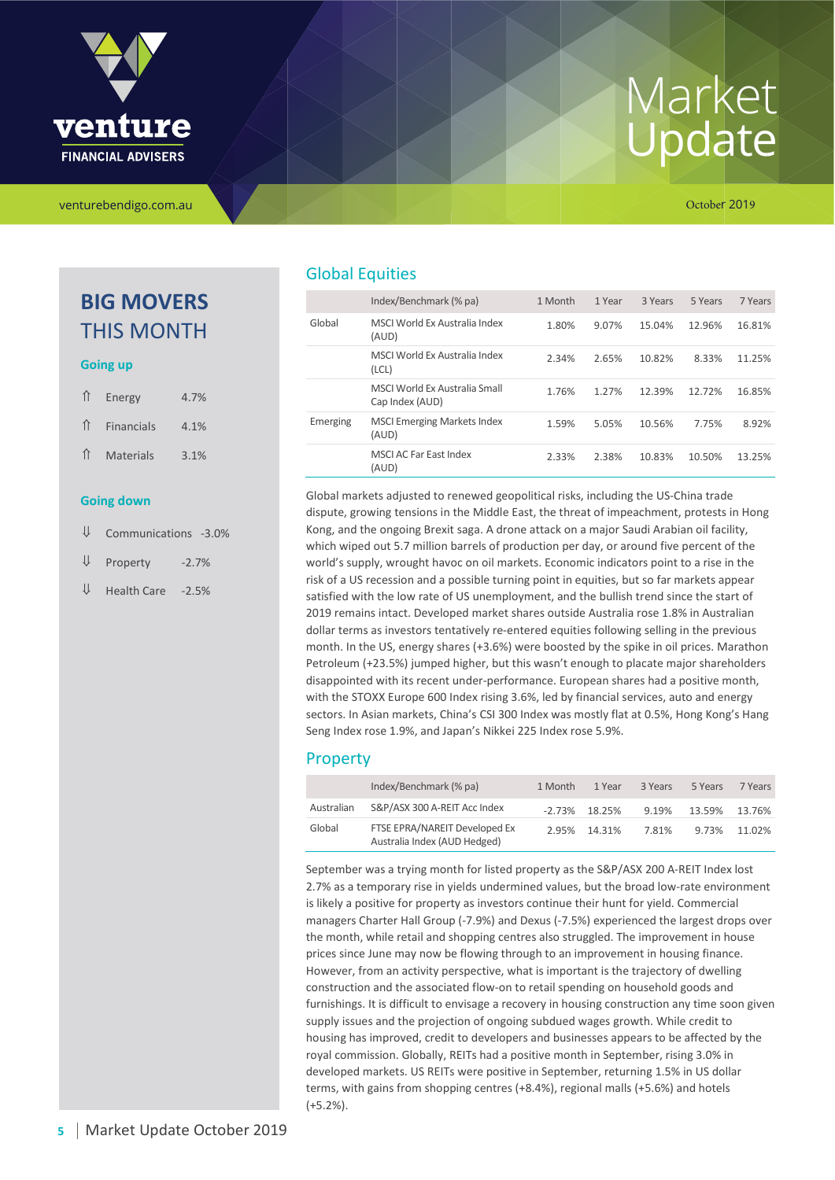

## **BIG MOVERS** THIS MONTH

#### **Going up**

| <b>Going down</b> |                      |      |  |  |
|-------------------|----------------------|------|--|--|
|                   | ↑ Materials          | 3.1% |  |  |
|                   | $\hat{I}$ Financials | 4.1% |  |  |
|                   | ↑ Energy             | 4.7% |  |  |

- ⇓ Communications -3.0%
- $\Psi$  Property -2.7%
- $\Psi$  Health Care -2.5%

## Global Equities

|          | Index/Benchmark (% pa)                           | 1 Month | 1 Year | 3 Years | 5 Years | 7 Years |
|----------|--------------------------------------------------|---------|--------|---------|---------|---------|
| Global   | MSCI World Ex Australia Index<br>(AUD)           | 1.80%   | 9.07%  | 15.04%  | 12.96%  | 16.81%  |
|          | MSCLWorld Ex Australia Index<br>(LCL)            | 2.34%   | 2.65%  | 10.82%  | 8.33%   | 11.25%  |
|          | MSCI World Ex Australia Small<br>Cap Index (AUD) | 1.76%   | 1.27%  | 12.39%  | 12.72%  | 16.85%  |
| Emerging | <b>MSCI Emerging Markets Index</b><br>(AUD)      | 1.59%   | 5.05%  | 10.56%  | 7.75%   | 8.92%   |
|          | MSCI AC Far East Index<br>(AUD)                  | 2.33%   | 2.38%  | 10.83%  | 10.50%  | 13.25%  |

Global markets adjusted to renewed geopolitical risks, including the US-China trade dispute, growing tensions in the Middle East, the threat of impeachment, protests in Hong Kong, and the ongoing Brexit saga. A drone attack on a major Saudi Arabian oil facility, which wiped out 5.7 million barrels of production per day, or around five percent of the world's supply, wrought havoc on oil markets. Economic indicators point to a rise in the risk of a US recession and a possible turning point in equities, but so far markets appear satisfied with the low rate of US unemployment, and the bullish trend since the start of 2019 remains intact. Developed market shares outside Australia rose 1.8% in Australian dollar terms as investors tentatively re-entered equities following selling in the previous month. In the US, energy shares (+3.6%) were boosted by the spike in oil prices. Marathon Petroleum (+23.5%) jumped higher, but this wasn't enough to placate major shareholders disappointed with its recent under-performance. European shares had a positive month, with the STOXX Europe 600 Index rising 3.6%, led by financial services, auto and energy sectors. In Asian markets, China's CSI 300 Index was mostly flat at 0.5%, Hong Kong's Hang Seng Index rose 1.9%, and Japan's Nikkei 225 Index rose 5.9%.

## Property

|            | Index/Benchmark (% pa)                                        | 1 Month | 1 Year           | 3 Years | 5 Years | 7 Years |
|------------|---------------------------------------------------------------|---------|------------------|---------|---------|---------|
| Australian | S&P/ASX 300 A-REIT Acc Index                                  |         | $-2.73\%$ 18.25% | 9.19%   | 13.59%  | 13.76%  |
| Global     | FTSE EPRA/NAREIT Developed Ex<br>Australia Index (AUD Hedged) |         | 2.95% 14.31%     | 7.81%   | 9.73%   | 11.02%  |

September was a trying month for listed property as the S&P/ASX 200 A-REIT Index lost 2.7% as a temporary rise in yields undermined values, but the broad low-rate environment is likely a positive for property as investors continue their hunt for yield. Commercial managers Charter Hall Group (-7.9%) and Dexus (-7.5%) experienced the largest drops over the month, while retail and shopping centres also struggled. The improvement in house prices since June may now be flowing through to an improvement in housing finance. However, from an activity perspective, what is important is the trajectory of dwelling construction and the associated flow-on to retail spending on household goods and furnishings. It is difficult to envisage a recovery in housing construction any time soon given supply issues and the projection of ongoing subdued wages growth. While credit to housing has improved, credit to developers and businesses appears to be affected by the royal commission. Globally, REITs had a positive month in September, rising 3.0% in developed markets. US REITs were positive in September, returning 1.5% in US dollar terms, with gains from shopping centres (+8.4%), regional malls (+5.6%) and hotels (+5.2%).